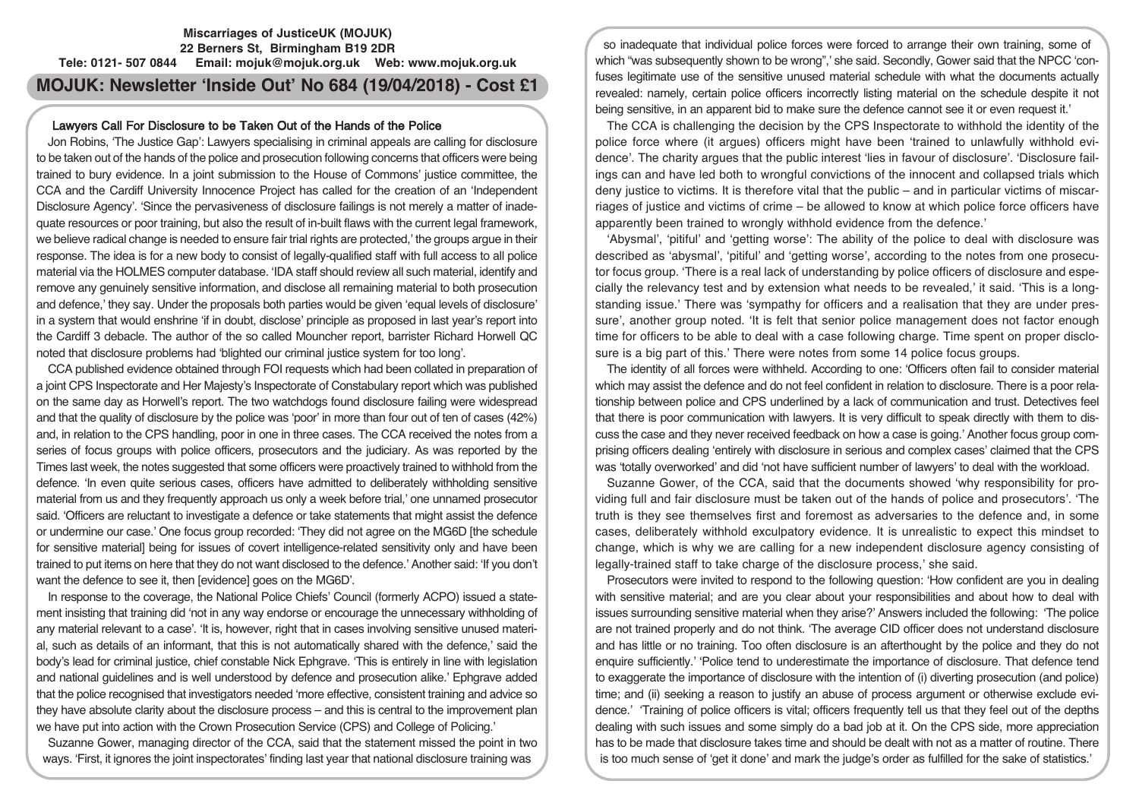## **Miscarriages of JusticeUK (MOJUK) 22 Berners St, Birmingham B19 2DR Tele: 0121- 507 0844 Email: mojuk@mojuk.org.uk Web: www.mojuk.org.uk**

# **MOJUK: Newsletter 'Inside Out' No 684 (19/04/2018) - Cost £1**

## Lawyers Call For Disclosure to be Taken Out of the Hands of the Police

Jon Robins, 'The Justice Gap': Lawyers specialising in criminal appeals are calling for disclosure to be taken out of the hands of the police and prosecution following concerns that officers were being trained to bury evidence. In a joint submission to the House of Commons' justice committee, the CCA and the Cardiff University Innocence Project has called for the creation of an 'Independent Disclosure Agency'. 'Since the pervasiveness of disclosure failings is not merely a matter of inadequate resources or poor training, but also the result of in-built flaws with the current legal framework, we believe radical change is needed to ensure fair trial rights are protected,' the groups argue in their response. The idea is for a new body to consist of legally-qualified staff with full access to all police material via the HOLMES computer database. 'IDA staff should review all such material, identify and remove any genuinely sensitive information, and disclose all remaining material to both prosecution and defence,' they say. Under the proposals both parties would be given 'equal levels of disclosure' in a system that would enshrine 'if in doubt, disclose' principle as proposed in last year's report into the Cardiff 3 debacle. The author of the so called Mouncher report, barrister Richard Horwell QC noted that disclosure problems had 'blighted our criminal justice system for too long'.

CCA published evidence obtained through FOI requests which had been collated in preparation of a joint CPS Inspectorate and Her Majesty's Inspectorate of Constabulary report which was published on the same day as Horwell's report. The two watchdogs found disclosure failing were widespread and that the quality of disclosure by the police was 'poor' in more than four out of ten of cases (42%) and, in relation to the CPS handling, poor in one in three cases. The CCA received the notes from a series of focus groups with police officers, prosecutors and the judiciary. As was reported by the Times last week, the notes suggested that some officers were proactively trained to withhold from the defence. 'In even quite serious cases, officers have admitted to deliberately withholding sensitive material from us and they frequently approach us only a week before trial,' one unnamed prosecutor said. 'Officers are reluctant to investigate a defence or take statements that might assist the defence or undermine our case.' One focus group recorded: 'They did not agree on the MG6D [the schedule for sensitive material] being for issues of covert intelligence-related sensitivity only and have been trained to put items on here that they do not want disclosed to the defence.' Another said: 'If you don't want the defence to see it, then [evidence] goes on the MG6D'.

In response to the coverage, the National Police Chiefs' Council (formerly ACPO) issued a statement insisting that training did 'not in any way endorse or encourage the unnecessary withholding of any material relevant to a case'. 'It is, however, right that in cases involving sensitive unused material, such as details of an informant, that this is not automatically shared with the defence,' said the body's lead for criminal justice, chief constable Nick Ephgrave. 'This is entirely in line with legislation and national guidelines and is well understood by defence and prosecution alike.' Ephgrave added that the police recognised that investigators needed 'more effective, consistent training and advice so they have absolute clarity about the disclosure process – and this is central to the improvement plan we have put into action with the Crown Prosecution Service (CPS) and College of Policing.'

Suzanne Gower, managing director of the CCA, said that the statement missed the point in two ways. 'First, it ignores the joint inspectorates' finding last year that national disclosure training was

so inadequate that individual police forces were forced to arrange their own training, some of which "was subsequently shown to be wrong",' she said. Secondly, Gower said that the NPCC 'confuses legitimate use of the sensitive unused material schedule with what the documents actually revealed: namely, certain police officers incorrectly listing material on the schedule despite it not being sensitive, in an apparent bid to make sure the defence cannot see it or even request it.'

The CCA is challenging the decision by the CPS Inspectorate to withhold the identity of the police force where (it argues) officers might have been 'trained to unlawfully withhold evidence'. The charity argues that the public interest 'lies in favour of disclosure'. 'Disclosure failings can and have led both to wrongful convictions of the innocent and collapsed trials which deny justice to victims. It is therefore vital that the public – and in particular victims of miscarriages of justice and victims of crime – be allowed to know at which police force officers have apparently been trained to wrongly withhold evidence from the defence.'

'Abysmal', 'pitiful' and 'getting worse': The ability of the police to deal with disclosure was described as 'abysmal', 'pitiful' and 'getting worse', according to the notes from one prosecutor focus group. 'There is a real lack of understanding by police officers of disclosure and especially the relevancy test and by extension what needs to be revealed,' it said. 'This is a longstanding issue.' There was 'sympathy for officers and a realisation that they are under pressure', another group noted. 'It is felt that senior police management does not factor enough time for officers to be able to deal with a case following charge. Time spent on proper disclosure is a big part of this.' There were notes from some 14 police focus groups.

The identity of all forces were withheld. According to one: 'Officers often fail to consider material which may assist the defence and do not feel confident in relation to disclosure. There is a poor relationship between police and CPS underlined by a lack of communication and trust. Detectives feel that there is poor communication with lawyers. It is very difficult to speak directly with them to discuss the case and they never received feedback on how a case is going.' Another focus group comprising officers dealing 'entirely with disclosure in serious and complex cases' claimed that the CPS was 'totally overworked' and did 'not have sufficient number of lawyers' to deal with the workload.

Suzanne Gower, of the CCA, said that the documents showed 'why responsibility for providing full and fair disclosure must be taken out of the hands of police and prosecutors'. 'The truth is they see themselves first and foremost as adversaries to the defence and, in some cases, deliberately withhold exculpatory evidence. It is unrealistic to expect this mindset to change, which is why we are calling for a new independent disclosure agency consisting of legally-trained staff to take charge of the disclosure process,' she said.

Prosecutors were invited to respond to the following question: 'How confident are you in dealing with sensitive material; and are you clear about your responsibilities and about how to deal with issues surrounding sensitive material when they arise?' Answers included the following: 'The police are not trained properly and do not think. 'The average CID officer does not understand disclosure and has little or no training. Too often disclosure is an afterthought by the police and they do not enquire sufficiently.' 'Police tend to underestimate the importance of disclosure. That defence tend to exaggerate the importance of disclosure with the intention of (i) diverting prosecution (and police) time; and (ii) seeking a reason to justify an abuse of process argument or otherwise exclude evidence.' 'Training of police officers is vital; officers frequently tell us that they feel out of the depths dealing with such issues and some simply do a bad job at it. On the CPS side, more appreciation has to be made that disclosure takes time and should be dealt with not as a matter of routine. There is too much sense of 'get it done' and mark the judge's order as fulfilled for the sake of statistics.'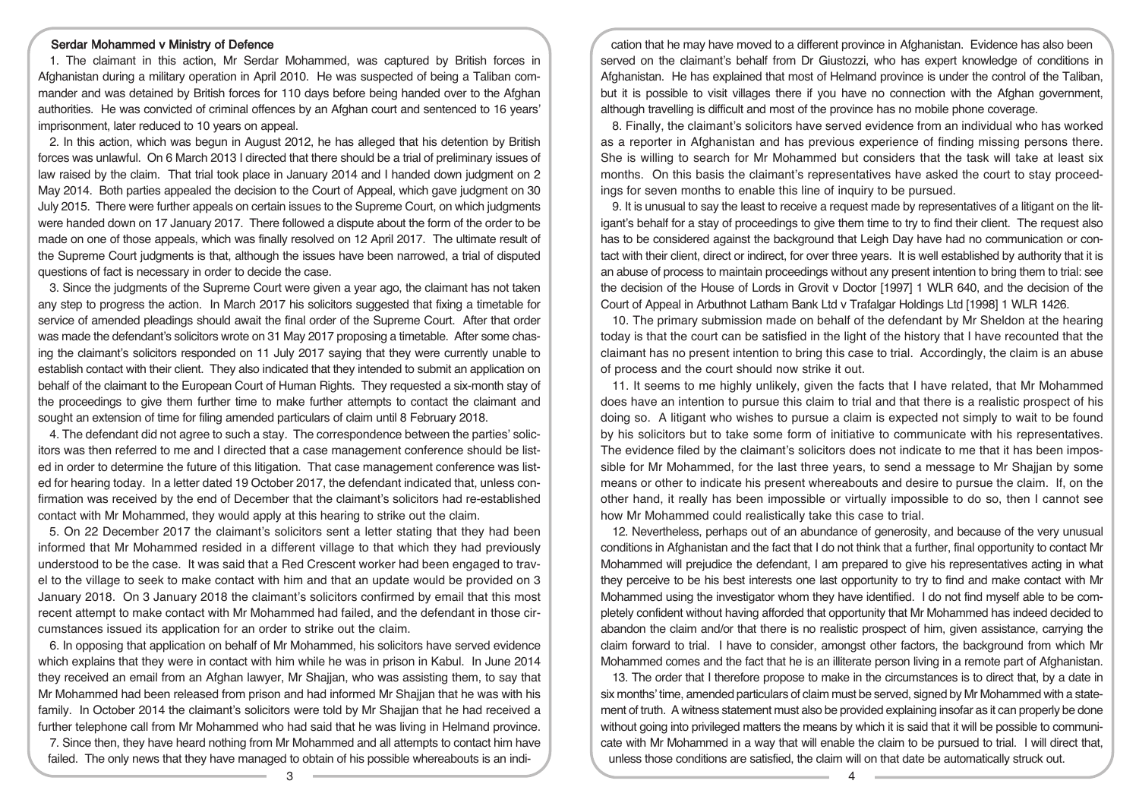#### Serdar Mohammed v Ministry of Defence

1. The claimant in this action, Mr Serdar Mohammed, was captured by British forces in Afghanistan during a military operation in April 2010. He was suspected of being a Taliban commander and was detained by British forces for 110 days before being handed over to the Afghan authorities. He was convicted of criminal offences by an Afghan court and sentenced to 16 years' imprisonment, later reduced to 10 years on appeal.

2. In this action, which was begun in August 2012, he has alleged that his detention by British forces was unlawful. On 6 March 2013 I directed that there should be a trial of preliminary issues of law raised by the claim. That trial took place in January 2014 and I handed down judgment on 2 May 2014. Both parties appealed the decision to the Court of Appeal, which gave judgment on 30 July 2015. There were further appeals on certain issues to the Supreme Court, on which judgments were handed down on 17 January 2017. There followed a dispute about the form of the order to be made on one of those appeals, which was finally resolved on 12 April 2017. The ultimate result of the Supreme Court judgments is that, although the issues have been narrowed, a trial of disputed questions of fact is necessary in order to decide the case.

3. Since the judgments of the Supreme Court were given a year ago, the claimant has not taken any step to progress the action. In March 2017 his solicitors suggested that fixing a timetable for service of amended pleadings should await the final order of the Supreme Court. After that order was made the defendant's solicitors wrote on 31 May 2017 proposing a timetable. After some chasing the claimant's solicitors responded on 11 July 2017 saying that they were currently unable to establish contact with their client. They also indicated that they intended to submit an application on behalf of the claimant to the European Court of Human Rights. They requested a six-month stay of the proceedings to give them further time to make further attempts to contact the claimant and sought an extension of time for filing amended particulars of claim until 8 February 2018.

4. The defendant did not agree to such a stay. The correspondence between the parties' solicitors was then referred to me and I directed that a case management conference should be listed in order to determine the future of this litigation. That case management conference was listed for hearing today. In a letter dated 19 October 2017, the defendant indicated that, unless confirmation was received by the end of December that the claimant's solicitors had re-established contact with Mr Mohammed, they would apply at this hearing to strike out the claim.

5. On 22 December 2017 the claimant's solicitors sent a letter stating that they had been informed that Mr Mohammed resided in a different village to that which they had previously understood to be the case. It was said that a Red Crescent worker had been engaged to travel to the village to seek to make contact with him and that an update would be provided on 3 January 2018. On 3 January 2018 the claimant's solicitors confirmed by email that this most recent attempt to make contact with Mr Mohammed had failed, and the defendant in those circumstances issued its application for an order to strike out the claim.

6. In opposing that application on behalf of Mr Mohammed, his solicitors have served evidence which explains that they were in contact with him while he was in prison in Kabul. In June 2014 they received an email from an Afghan lawyer, Mr Shajjan, who was assisting them, to say that Mr Mohammed had been released from prison and had informed Mr Shajjan that he was with his family. In October 2014 the claimant's solicitors were told by Mr Shaijan that he had received a further telephone call from Mr Mohammed who had said that he was living in Helmand province. 7. Since then, they have heard nothing from Mr Mohammed and all attempts to contact him have

failed. The only news that they have managed to obtain of his possible whereabouts is an indi-

cation that he may have moved to a different province in Afghanistan. Evidence has also been served on the claimant's behalf from Dr Giustozzi, who has expert knowledge of conditions in Afghanistan. He has explained that most of Helmand province is under the control of the Taliban, but it is possible to visit villages there if you have no connection with the Afghan government, although travelling is difficult and most of the province has no mobile phone coverage.

8. Finally, the claimant's solicitors have served evidence from an individual who has worked as a reporter in Afghanistan and has previous experience of finding missing persons there. She is willing to search for Mr Mohammed but considers that the task will take at least six months. On this basis the claimant's representatives have asked the court to stay proceedings for seven months to enable this line of inquiry to be pursued.

9. It is unusual to say the least to receive a request made by representatives of a litigant on the litigant's behalf for a stay of proceedings to give them time to try to find their client. The request also has to be considered against the background that Leigh Day have had no communication or contact with their client, direct or indirect, for over three years. It is well established by authority that it is an abuse of process to maintain proceedings without any present intention to bring them to trial: see the decision of the House of Lords in Grovit v Doctor [1997] 1 WLR 640, and the decision of the Court of Appeal in Arbuthnot Latham Bank Ltd v Trafalgar Holdings Ltd [1998] 1 WLR 1426.

10. The primary submission made on behalf of the defendant by Mr Sheldon at the hearing today is that the court can be satisfied in the light of the history that I have recounted that the claimant has no present intention to bring this case to trial. Accordingly, the claim is an abuse of process and the court should now strike it out.

11. It seems to me highly unlikely, given the facts that I have related, that Mr Mohammed does have an intention to pursue this claim to trial and that there is a realistic prospect of his doing so. A litigant who wishes to pursue a claim is expected not simply to wait to be found by his solicitors but to take some form of initiative to communicate with his representatives. The evidence filed by the claimant's solicitors does not indicate to me that it has been impossible for Mr Mohammed, for the last three years, to send a message to Mr Shajjan by some means or other to indicate his present whereabouts and desire to pursue the claim. If, on the other hand, it really has been impossible or virtually impossible to do so, then I cannot see how Mr Mohammed could realistically take this case to trial.

12. Nevertheless, perhaps out of an abundance of generosity, and because of the very unusual conditions in Afghanistan and the fact that I do not think that a further, final opportunity to contact Mr Mohammed will prejudice the defendant, I am prepared to give his representatives acting in what they perceive to be his best interests one last opportunity to try to find and make contact with Mr Mohammed using the investigator whom they have identified. I do not find myself able to be completely confident without having afforded that opportunity that Mr Mohammed has indeed decided to abandon the claim and/or that there is no realistic prospect of him, given assistance, carrying the claim forward to trial. I have to consider, amongst other factors, the background from which Mr Mohammed comes and the fact that he is an illiterate person living in a remote part of Afghanistan.

13. The order that I therefore propose to make in the circumstances is to direct that, by a date in six months' time, amended particulars of claim must be served, signed by Mr Mohammed with a statement of truth. A witness statement must also be provided explaining insofar as it can properly be done without going into privileged matters the means by which it is said that it will be possible to communicate with Mr Mohammed in a way that will enable the claim to be pursued to trial. I will direct that, unless those conditions are satisfied, the claim will on that date be automatically struck out.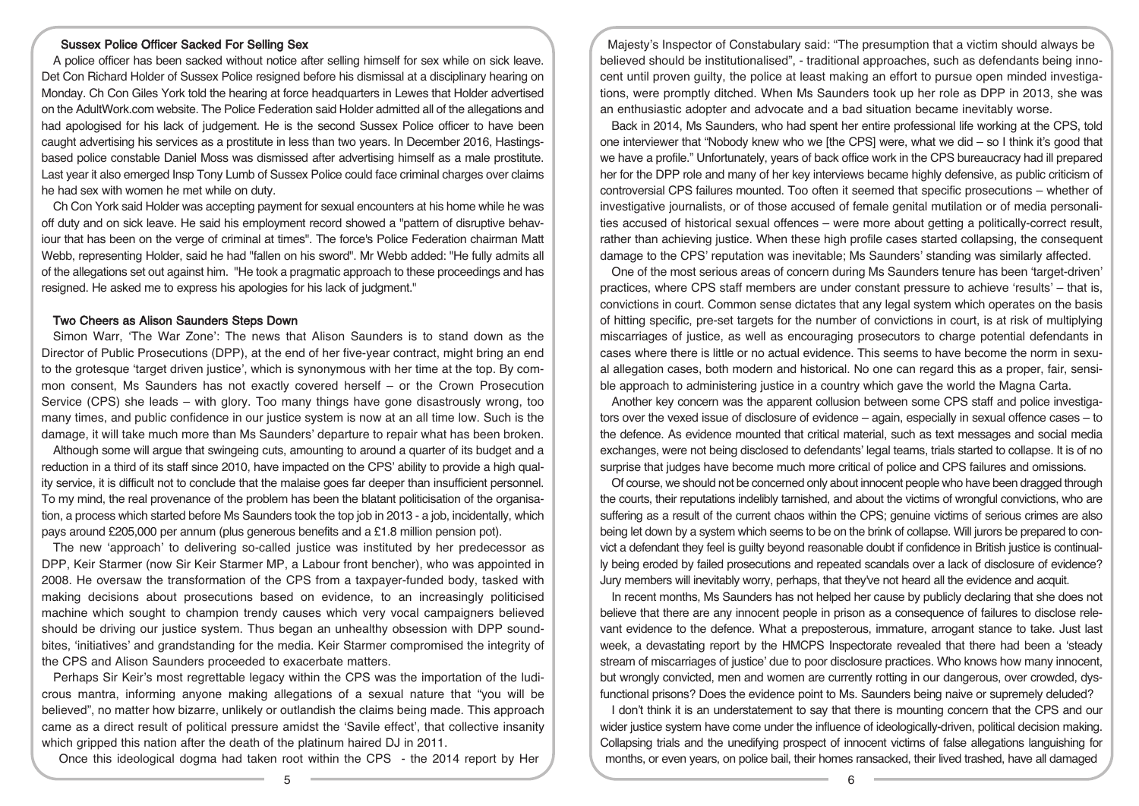## Sussex Police Officer Sacked For Selling Sex

A police officer has been sacked without notice after selling himself for sex while on sick leave. Det Con Richard Holder of Sussex Police resigned before his dismissal at a disciplinary hearing on Monday. Ch Con Giles York told the hearing at force headquarters in Lewes that Holder advertised on the AdultWork.com website. The Police Federation said Holder admitted all of the allegations and had apologised for his lack of judgement. He is the second Sussex Police officer to have been caught advertising his services as a prostitute in less than two years. In December 2016, Hastingsbased police constable Daniel Moss was dismissed after advertising himself as a male prostitute. Last year it also emerged Insp Tony Lumb of Sussex Police could face criminal charges over claims he had sex with women he met while on duty.

Ch Con York said Holder was accepting payment for sexual encounters at his home while he was off duty and on sick leave. He said his employment record showed a "pattern of disruptive behaviour that has been on the verge of criminal at times". The force's Police Federation chairman Matt Webb, representing Holder, said he had "fallen on his sword". Mr Webb added: "He fully admits all of the allegations set out against him. "He took a pragmatic approach to these proceedings and has resigned. He asked me to express his apologies for his lack of judgment."

### Two Cheers as Alison Saunders Steps Down

Simon Warr, 'The War Zone': The news that Alison Saunders is to stand down as the Director of Public Prosecutions (DPP), at the end of her five-year contract, might bring an end to the grotesque 'target driven justice', which is synonymous with her time at the top. By common consent, Ms Saunders has not exactly covered herself – or the Crown Prosecution Service (CPS) she leads – with glory. Too many things have gone disastrously wrong, too many times, and public confidence in our justice system is now at an all time low. Such is the damage, it will take much more than Ms Saunders' departure to repair what has been broken.

Although some will argue that swingeing cuts, amounting to around a quarter of its budget and a reduction in a third of its staff since 2010, have impacted on the CPS' ability to provide a high quality service, it is difficult not to conclude that the malaise goes far deeper than insufficient personnel. To my mind, the real provenance of the problem has been the blatant politicisation of the organisation, a process which started before Ms Saunders took the top job in 2013 - a job, incidentally, which pays around £205,000 per annum (plus generous benefits and a £1.8 million pension pot).

The new 'approach' to delivering so-called justice was instituted by her predecessor as DPP, Keir Starmer (now Sir Keir Starmer MP, a Labour front bencher), who was appointed in 2008. He oversaw the transformation of the CPS from a taxpayer-funded body, tasked with making decisions about prosecutions based on evidence, to an increasingly politicised machine which sought to champion trendy causes which very vocal campaigners believed should be driving our justice system. Thus began an unhealthy obsession with DPP soundbites, 'initiatives' and grandstanding for the media. Keir Starmer compromised the integrity of the CPS and Alison Saunders proceeded to exacerbate matters.

Perhaps Sir Keir's most regrettable legacy within the CPS was the importation of the ludicrous mantra, informing anyone making allegations of a sexual nature that "you will be believed", no matter how bizarre, unlikely or outlandish the claims being made. This approach came as a direct result of political pressure amidst the 'Savile effect', that collective insanity which gripped this nation after the death of the platinum haired DJ in 2011.

Once this ideological dogma had taken root within the CPS - the 2014 report by Her

Majesty's Inspector of Constabulary said: "The presumption that a victim should always be believed should be institutionalised", - traditional approaches, such as defendants being innocent until proven guilty, the police at least making an effort to pursue open minded investigations, were promptly ditched. When Ms Saunders took up her role as DPP in 2013, she was an enthusiastic adopter and advocate and a bad situation became inevitably worse.

Back in 2014, Ms Saunders, who had spent her entire professional life working at the CPS, told one interviewer that "Nobody knew who we [the CPS] were, what we did – so I think it's good that we have a profile." Unfortunately, years of back office work in the CPS bureaucracy had ill prepared her for the DPP role and many of her key interviews became highly defensive, as public criticism of controversial CPS failures mounted. Too often it seemed that specific prosecutions – whether of investigative journalists, or of those accused of female genital mutilation or of media personalities accused of historical sexual offences – were more about getting a politically-correct result, rather than achieving justice. When these high profile cases started collapsing, the consequent damage to the CPS' reputation was inevitable; Ms Saunders' standing was similarly affected.

One of the most serious areas of concern during Ms Saunders tenure has been 'target-driven' practices, where CPS staff members are under constant pressure to achieve 'results' – that is, convictions in court. Common sense dictates that any legal system which operates on the basis of hitting specific, pre-set targets for the number of convictions in court, is at risk of multiplying miscarriages of justice, as well as encouraging prosecutors to charge potential defendants in cases where there is little or no actual evidence. This seems to have become the norm in sexual allegation cases, both modern and historical. No one can regard this as a proper, fair, sensible approach to administering justice in a country which gave the world the Magna Carta.

Another key concern was the apparent collusion between some CPS staff and police investigators over the vexed issue of disclosure of evidence – again, especially in sexual offence cases – to the defence. As evidence mounted that critical material, such as text messages and social media exchanges, were not being disclosed to defendants' legal teams, trials started to collapse. It is of no surprise that judges have become much more critical of police and CPS failures and omissions.

Of course, we should not be concerned only about innocent people who have been dragged through the courts, their reputations indelibly tarnished, and about the victims of wrongful convictions, who are suffering as a result of the current chaos within the CPS; genuine victims of serious crimes are also being let down by a system which seems to be on the brink of collapse. Will jurors be prepared to convict a defendant they feel is guilty beyond reasonable doubt if confidence in British justice is continually being eroded by failed prosecutions and repeated scandals over a lack of disclosure of evidence? Jury members will inevitably worry, perhaps, that they've not heard all the evidence and acquit.

In recent months, Ms Saunders has not helped her cause by publicly declaring that she does not believe that there are any innocent people in prison as a consequence of failures to disclose relevant evidence to the defence. What a preposterous, immature, arrogant stance to take. Just last week, a devastating report by the HMCPS Inspectorate revealed that there had been a 'steady stream of miscarriages of justice' due to poor disclosure practices. Who knows how many innocent, but wrongly convicted, men and women are currently rotting in our dangerous, over crowded, dysfunctional prisons? Does the evidence point to Ms. Saunders being naive or supremely deluded?

I don't think it is an understatement to say that there is mounting concern that the CPS and our wider justice system have come under the influence of ideologically-driven, political decision making. Collapsing trials and the unedifying prospect of innocent victims of false allegations languishing for months, or even years, on police bail, their homes ransacked, their lived trashed, have all damaged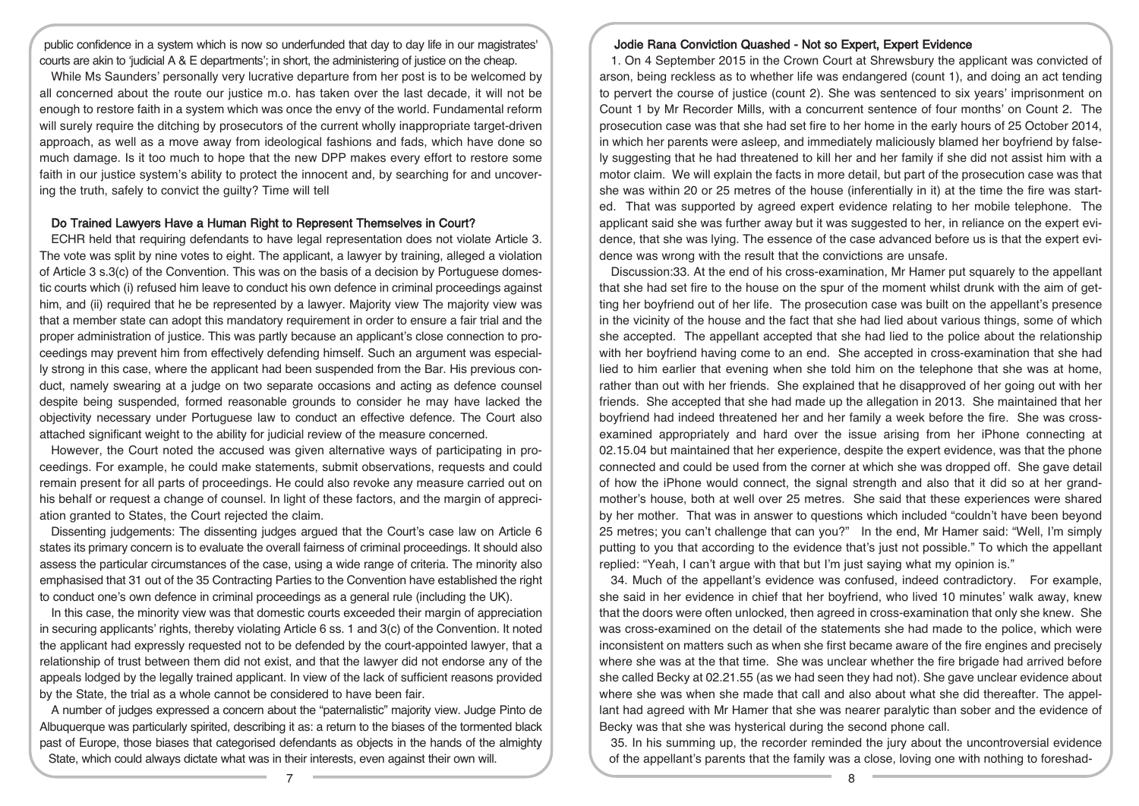public confidence in a system which is now so underfunded that day to day life in our magistrates' courts are akin to 'judicial A & E departments'; in short, the administering of justice on the cheap.

While Ms Saunders' personally very lucrative departure from her post is to be welcomed by all concerned about the route our justice m.o. has taken over the last decade, it will not be enough to restore faith in a system which was once the envy of the world. Fundamental reform will surely require the ditching by prosecutors of the current wholly inappropriate target-driven approach, as well as a move away from ideological fashions and fads, which have done so much damage. Is it too much to hope that the new DPP makes every effort to restore some faith in our justice system's ability to protect the innocent and, by searching for and uncovering the truth, safely to convict the guilty? Time will tell

#### Do Trained Lawyers Have a Human Right to Represent Themselves in Court?

ECHR held that requiring defendants to have legal representation does not violate Article 3. The vote was split by nine votes to eight. The applicant, a lawyer by training, alleged a violation of Article 3 s.3(c) of the Convention. This was on the basis of a decision by Portuguese domestic courts which (i) refused him leave to conduct his own defence in criminal proceedings against him, and (ii) required that he be represented by a lawyer. Majority view The majority view was that a member state can adopt this mandatory requirement in order to ensure a fair trial and the proper administration of justice. This was partly because an applicant's close connection to proceedings may prevent him from effectively defending himself. Such an argument was especially strong in this case, where the applicant had been suspended from the Bar. His previous conduct, namely swearing at a judge on two separate occasions and acting as defence counsel despite being suspended, formed reasonable grounds to consider he may have lacked the objectivity necessary under Portuguese law to conduct an effective defence. The Court also attached significant weight to the ability for judicial review of the measure concerned.

However, the Court noted the accused was given alternative ways of participating in proceedings. For example, he could make statements, submit observations, requests and could remain present for all parts of proceedings. He could also revoke any measure carried out on his behalf or request a change of counsel. In light of these factors, and the margin of appreciation granted to States, the Court rejected the claim.

Dissenting judgements: The dissenting judges argued that the Court's case law on Article 6 states its primary concern is to evaluate the overall fairness of criminal proceedings. It should also assess the particular circumstances of the case, using a wide range of criteria. The minority also emphasised that 31 out of the 35 Contracting Parties to the Convention have established the right to conduct one's own defence in criminal proceedings as a general rule (including the UK).

In this case, the minority view was that domestic courts exceeded their margin of appreciation in securing applicants' rights, thereby violating Article 6 ss. 1 and 3(c) of the Convention. It noted the applicant had expressly requested not to be defended by the court-appointed lawyer, that a relationship of trust between them did not exist, and that the lawyer did not endorse any of the appeals lodged by the legally trained applicant. In view of the lack of sufficient reasons provided by the State, the trial as a whole cannot be considered to have been fair.

A number of judges expressed a concern about the "paternalistic" majority view. Judge Pinto de Albuquerque was particularly spirited, describing it as: a return to the biases of the tormented black past of Europe, those biases that categorised defendants as objects in the hands of the almighty State, which could always dictate what was in their interests, even against their own will.

#### Jodie Rana Conviction Quashed - Not so Expert, Expert Evidence

1. On 4 September 2015 in the Crown Court at Shrewsbury the applicant was convicted of arson, being reckless as to whether life was endangered (count 1), and doing an act tending to pervert the course of justice (count 2). She was sentenced to six years' imprisonment on Count 1 by Mr Recorder Mills, with a concurrent sentence of four months' on Count 2. The prosecution case was that she had set fire to her home in the early hours of 25 October 2014, in which her parents were asleep, and immediately maliciously blamed her boyfriend by falsely suggesting that he had threatened to kill her and her family if she did not assist him with a motor claim. We will explain the facts in more detail, but part of the prosecution case was that she was within 20 or 25 metres of the house (inferentially in it) at the time the fire was started. That was supported by agreed expert evidence relating to her mobile telephone. The applicant said she was further away but it was suggested to her, in reliance on the expert evidence, that she was lying. The essence of the case advanced before us is that the expert evidence was wrong with the result that the convictions are unsafe.

Discussion:33. At the end of his cross-examination, Mr Hamer put squarely to the appellant that she had set fire to the house on the spur of the moment whilst drunk with the aim of getting her boyfriend out of her life. The prosecution case was built on the appellant's presence in the vicinity of the house and the fact that she had lied about various things, some of which she accepted. The appellant accepted that she had lied to the police about the relationship with her boyfriend having come to an end. She accepted in cross-examination that she had lied to him earlier that evening when she told him on the telephone that she was at home, rather than out with her friends. She explained that he disapproved of her going out with her friends. She accepted that she had made up the allegation in 2013. She maintained that her boyfriend had indeed threatened her and her family a week before the fire. She was crossexamined appropriately and hard over the issue arising from her iPhone connecting at 02.15.04 but maintained that her experience, despite the expert evidence, was that the phone connected and could be used from the corner at which she was dropped off. She gave detail of how the iPhone would connect, the signal strength and also that it did so at her grandmother's house, both at well over 25 metres. She said that these experiences were shared by her mother. That was in answer to questions which included "couldn't have been beyond 25 metres; you can't challenge that can you?" In the end, Mr Hamer said: "Well, I'm simply putting to you that according to the evidence that's just not possible." To which the appellant replied: "Yeah, I can't argue with that but I'm just saying what my opinion is."

34. Much of the appellant's evidence was confused, indeed contradictory. For example, she said in her evidence in chief that her boyfriend, who lived 10 minutes' walk away, knew that the doors were often unlocked, then agreed in cross-examination that only she knew. She was cross-examined on the detail of the statements she had made to the police, which were inconsistent on matters such as when she first became aware of the fire engines and precisely where she was at the that time. She was unclear whether the fire brigade had arrived before she called Becky at 02.21.55 (as we had seen they had not). She gave unclear evidence about where she was when she made that call and also about what she did thereafter. The appellant had agreed with Mr Hamer that she was nearer paralytic than sober and the evidence of Becky was that she was hysterical during the second phone call.

35. In his summing up, the recorder reminded the jury about the uncontroversial evidence of the appellant's parents that the family was a close, loving one with nothing to foreshad-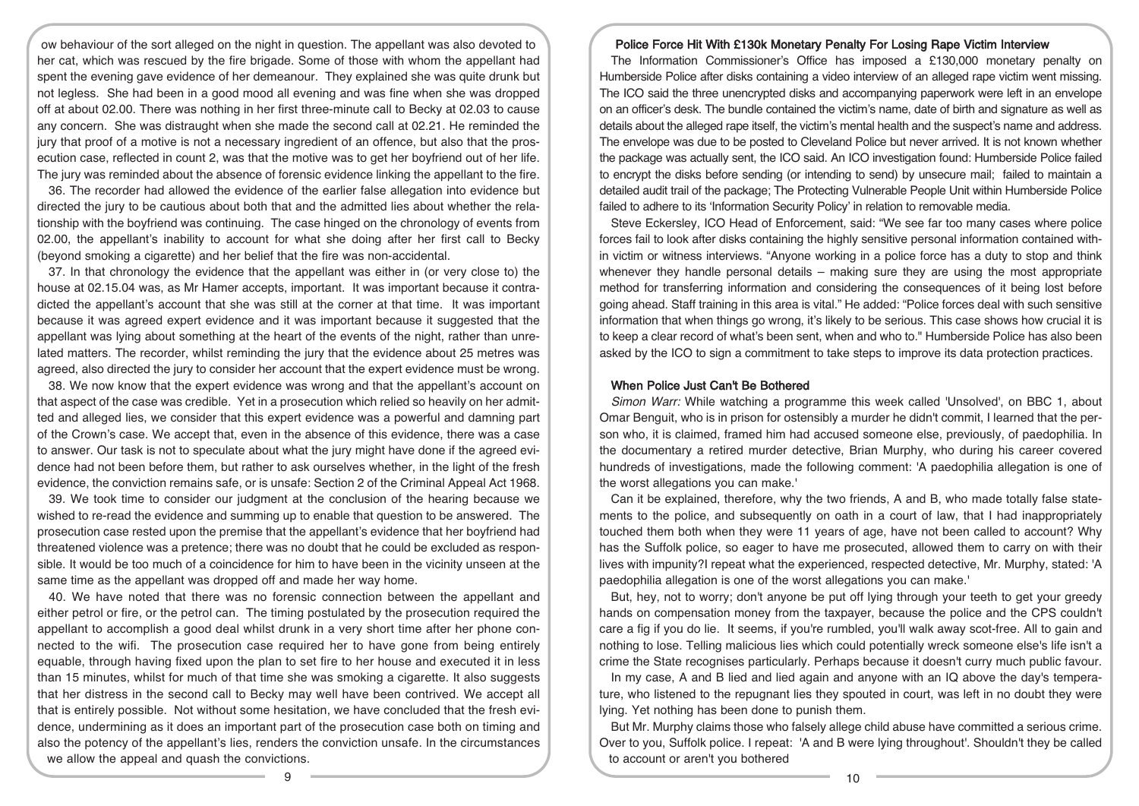ow behaviour of the sort alleged on the night in question. The appellant was also devoted to her cat, which was rescued by the fire brigade. Some of those with whom the appellant had spent the evening gave evidence of her demeanour. They explained she was quite drunk but not legless. She had been in a good mood all evening and was fine when she was dropped off at about 02.00. There was nothing in her first three-minute call to Becky at 02.03 to cause any concern. She was distraught when she made the second call at 02.21. He reminded the jury that proof of a motive is not a necessary ingredient of an offence, but also that the prosecution case, reflected in count 2, was that the motive was to get her boyfriend out of her life. The jury was reminded about the absence of forensic evidence linking the appellant to the fire.

36. The recorder had allowed the evidence of the earlier false allegation into evidence but directed the jury to be cautious about both that and the admitted lies about whether the relationship with the boyfriend was continuing. The case hinged on the chronology of events from 02.00, the appellant's inability to account for what she doing after her first call to Becky (beyond smoking a cigarette) and her belief that the fire was non-accidental.

37. In that chronology the evidence that the appellant was either in (or very close to) the house at 02.15.04 was, as Mr Hamer accepts, important. It was important because it contradicted the appellant's account that she was still at the corner at that time. It was important because it was agreed expert evidence and it was important because it suggested that the appellant was lying about something at the heart of the events of the night, rather than unrelated matters. The recorder, whilst reminding the jury that the evidence about 25 metres was agreed, also directed the jury to consider her account that the expert evidence must be wrong.

38. We now know that the expert evidence was wrong and that the appellant's account on that aspect of the case was credible. Yet in a prosecution which relied so heavily on her admitted and alleged lies, we consider that this expert evidence was a powerful and damning part of the Crown's case. We accept that, even in the absence of this evidence, there was a case to answer. Our task is not to speculate about what the jury might have done if the agreed evidence had not been before them, but rather to ask ourselves whether, in the light of the fresh evidence, the conviction remains safe, or is unsafe: Section 2 of the Criminal Appeal Act 1968.

39. We took time to consider our judgment at the conclusion of the hearing because we wished to re-read the evidence and summing up to enable that question to be answered. The prosecution case rested upon the premise that the appellant's evidence that her boyfriend had threatened violence was a pretence; there was no doubt that he could be excluded as responsible. It would be too much of a coincidence for him to have been in the vicinity unseen at the same time as the appellant was dropped off and made her way home.

40. We have noted that there was no forensic connection between the appellant and either petrol or fire, or the petrol can. The timing postulated by the prosecution required the appellant to accomplish a good deal whilst drunk in a very short time after her phone connected to the wifi. The prosecution case required her to have gone from being entirely equable, through having fixed upon the plan to set fire to her house and executed it in less than 15 minutes, whilst for much of that time she was smoking a cigarette. It also suggests that her distress in the second call to Becky may well have been contrived. We accept all that is entirely possible. Not without some hesitation, we have concluded that the fresh evidence, undermining as it does an important part of the prosecution case both on timing and also the potency of the appellant's lies, renders the conviction unsafe. In the circumstances we allow the appeal and quash the convictions.

## Police Force Hit With £130k Monetary Penalty For Losing Rape Victim Interview

The Information Commissioner's Office has imposed a £130,000 monetary penalty on Humberside Police after disks containing a video interview of an alleged rape victim went missing. The ICO said the three unencrypted disks and accompanying paperwork were left in an envelope on an officer's desk. The bundle contained the victim's name, date of birth and signature as well as details about the alleged rape itself, the victim's mental health and the suspect's name and address. The envelope was due to be posted to Cleveland Police but never arrived. It is not known whether the package was actually sent, the ICO said. An ICO investigation found: Humberside Police failed to encrypt the disks before sending (or intending to send) by unsecure mail; failed to maintain a detailed audit trail of the package; The Protecting Vulnerable People Unit within Humberside Police failed to adhere to its 'Information Security Policy' in relation to removable media.

Steve Eckersley, ICO Head of Enforcement, said: "We see far too many cases where police forces fail to look after disks containing the highly sensitive personal information contained within victim or witness interviews. "Anyone working in a police force has a duty to stop and think whenever they handle personal details – making sure they are using the most appropriate method for transferring information and considering the consequences of it being lost before going ahead. Staff training in this area is vital." He added: "Police forces deal with such sensitive information that when things go wrong, it's likely to be serious. This case shows how crucial it is to keep a clear record of what's been sent, when and who to." Humberside Police has also been asked by the ICO to sign a commitment to take steps to improve its data protection practices.

### When Police Just Can't Be Bothered

Simon Warr: While watching a programme this week called 'Unsolved', on BBC 1, about Omar Benguit, who is in prison for ostensibly a murder he didn't commit, I learned that the person who, it is claimed, framed him had accused someone else, previously, of paedophilia. In the documentary a retired murder detective, Brian Murphy, who during his career covered hundreds of investigations, made the following comment: 'A paedophilia allegation is one of the worst allegations you can make.'

Can it be explained, therefore, why the two friends, A and B, who made totally false statements to the police, and subsequently on oath in a court of law, that I had inappropriately touched them both when they were 11 years of age, have not been called to account? Why has the Suffolk police, so eager to have me prosecuted, allowed them to carry on with their lives with impunity?I repeat what the experienced, respected detective, Mr. Murphy, stated: 'A paedophilia allegation is one of the worst allegations you can make.'

But, hey, not to worry; don't anyone be put off lying through your teeth to get your greedy hands on compensation money from the taxpayer, because the police and the CPS couldn't care a fig if you do lie. It seems, if you're rumbled, you'll walk away scot-free. All to gain and nothing to lose. Telling malicious lies which could potentially wreck someone else's life isn't a crime the State recognises particularly. Perhaps because it doesn't curry much public favour.

In my case. A and B lied and lied again and anyone with an IQ above the day's temperature, who listened to the repugnant lies they spouted in court, was left in no doubt they were lying. Yet nothing has been done to punish them.

But Mr. Murphy claims those who falsely allege child abuse have committed a serious crime. Over to you, Suffolk police. I repeat: 'A and B were lying throughout'. Shouldn't they be called to account or aren't you bothered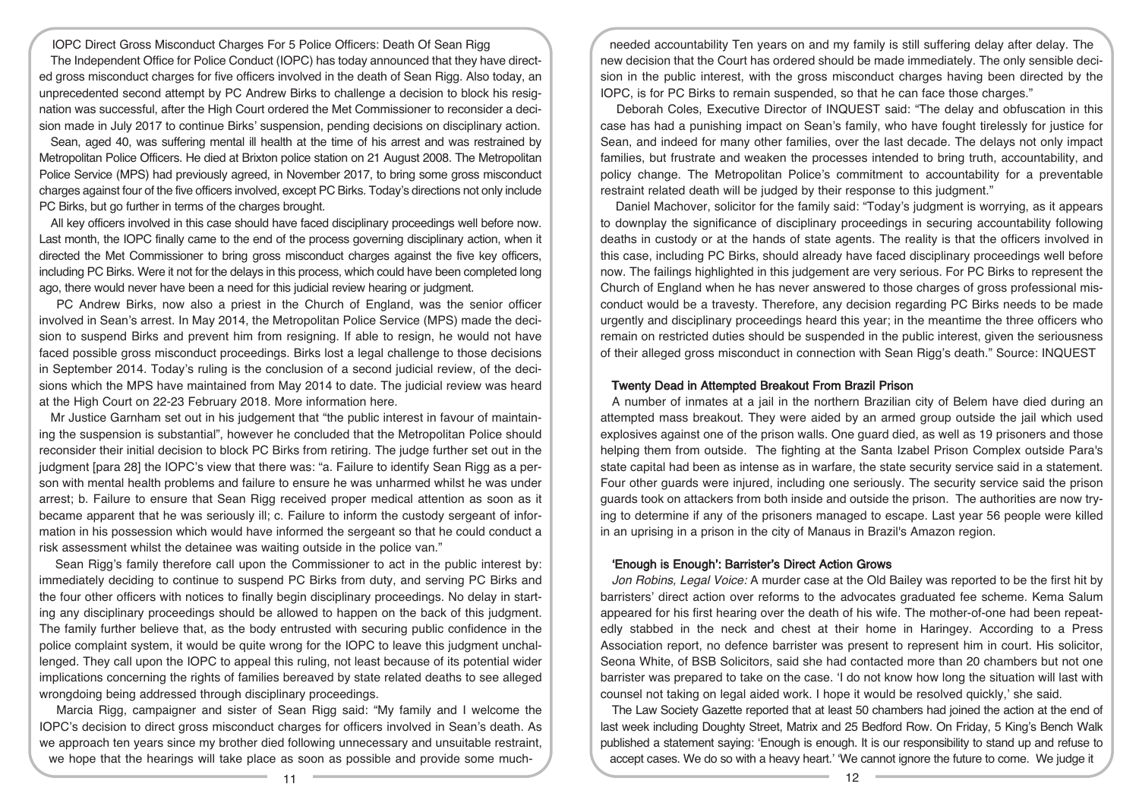IOPC Direct Gross Misconduct Charges For 5 Police Officers: Death Of Sean Rigg The Independent Office for Police Conduct (IOPC) has today announced that they have directed gross misconduct charges for five officers involved in the death of Sean Rigg. Also today, an unprecedented second attempt by PC Andrew Birks to challenge a decision to block his resignation was successful, after the High Court ordered the Met Commissioner to reconsider a decision made in July 2017 to continue Birks' suspension, pending decisions on disciplinary action.

Sean, aged 40, was suffering mental ill health at the time of his arrest and was restrained by Metropolitan Police Officers. He died at Brixton police station on 21 August 2008. The Metropolitan Police Service (MPS) had previously agreed, in November 2017, to bring some gross misconduct charges against four of the five officers involved, except PC Birks. Today's directions not only include PC Birks, but go further in terms of the charges brought.

All key officers involved in this case should have faced disciplinary proceedings well before now. Last month, the IOPC finally came to the end of the process governing disciplinary action, when it directed the Met Commissioner to bring gross misconduct charges against the five key officers, including PC Birks. Were it not for the delays in this process, which could have been completed long ago, there would never have been a need for this judicial review hearing or judgment.

PC Andrew Birks, now also a priest in the Church of England, was the senior officer involved in Sean's arrest. In May 2014, the Metropolitan Police Service (MPS) made the decision to suspend Birks and prevent him from resigning. If able to resign, he would not have faced possible gross misconduct proceedings. Birks lost a legal challenge to those decisions in September 2014. Today's ruling is the conclusion of a second judicial review, of the decisions which the MPS have maintained from May 2014 to date. The judicial review was heard at the High Court on 22-23 February 2018. More information here.

Mr Justice Garnham set out in his judgement that "the public interest in favour of maintaining the suspension is substantial", however he concluded that the Metropolitan Police should reconsider their initial decision to block PC Birks from retiring. The judge further set out in the judgment [para 28] the IOPC's view that there was: "a. Failure to identify Sean Rigg as a person with mental health problems and failure to ensure he was unharmed whilst he was under arrest; b. Failure to ensure that Sean Rigg received proper medical attention as soon as it became apparent that he was seriously ill; c. Failure to inform the custody sergeant of information in his possession which would have informed the sergeant so that he could conduct a risk assessment whilst the detainee was waiting outside in the police van."

Sean Rigg's family therefore call upon the Commissioner to act in the public interest by: immediately deciding to continue to suspend PC Birks from duty, and serving PC Birks and the four other officers with notices to finally begin disciplinary proceedings. No delay in starting any disciplinary proceedings should be allowed to happen on the back of this judgment. The family further believe that, as the body entrusted with securing public confidence in the police complaint system, it would be quite wrong for the IOPC to leave this judgment unchallenged. They call upon the IOPC to appeal this ruling, not least because of its potential wider implications concerning the rights of families bereaved by state related deaths to see alleged wrongdoing being addressed through disciplinary proceedings.

Marcia Rigg, campaigner and sister of Sean Rigg said: "My family and I welcome the IOPC's decision to direct gross misconduct charges for officers involved in Sean's death. As we approach ten years since my brother died following unnecessary and unsuitable restraint, we hope that the hearings will take place as soon as possible and provide some much-

needed accountability Ten years on and my family is still suffering delay after delay. The new decision that the Court has ordered should be made immediately. The only sensible decision in the public interest, with the gross misconduct charges having been directed by the IOPC, is for PC Birks to remain suspended, so that he can face those charges."

Deborah Coles, Executive Director of INQUEST said: "The delay and obfuscation in this case has had a punishing impact on Sean's family, who have fought tirelessly for justice for Sean, and indeed for many other families, over the last decade. The delays not only impact families, but frustrate and weaken the processes intended to bring truth, accountability, and policy change. The Metropolitan Police's commitment to accountability for a preventable restraint related death will be judged by their response to this judgment."

Daniel Machover, solicitor for the family said: "Today's judgment is worrying, as it appears to downplay the significance of disciplinary proceedings in securing accountability following deaths in custody or at the hands of state agents. The reality is that the officers involved in this case, including PC Birks, should already have faced disciplinary proceedings well before now. The failings highlighted in this judgement are very serious. For PC Birks to represent the Church of England when he has never answered to those charges of gross professional misconduct would be a travesty. Therefore, any decision regarding PC Birks needs to be made urgently and disciplinary proceedings heard this year; in the meantime the three officers who remain on restricted duties should be suspended in the public interest, given the seriousness of their alleged gross misconduct in connection with Sean Rigg's death." Source: INQUEST

#### Twenty Dead in Attempted Breakout From Brazil Prison

A number of inmates at a jail in the northern Brazilian city of Belem have died during an attempted mass breakout. They were aided by an armed group outside the jail which used explosives against one of the prison walls. One guard died, as well as 19 prisoners and those helping them from outside. The fighting at the Santa Izabel Prison Complex outside Para's state capital had been as intense as in warfare, the state security service said in a statement. Four other guards were injured, including one seriously. The security service said the prison guards took on attackers from both inside and outside the prison. The authorities are now trying to determine if any of the prisoners managed to escape. Last year 56 people were killed in an uprising in a prison in the city of Manaus in Brazil's Amazon region.

#### 'Enough is Enough': Barrister's Direct Action Grows

Jon Robins, Legal Voice: A murder case at the Old Bailey was reported to be the first hit by barristers' direct action over reforms to the advocates graduated fee scheme. Kema Salum appeared for his first hearing over the death of his wife. The mother-of-one had been repeatedly stabbed in the neck and chest at their home in Haringey. According to a Press Association report, no defence barrister was present to represent him in court. His solicitor, Seona White, of BSB Solicitors, said she had contacted more than 20 chambers but not one barrister was prepared to take on the case. 'I do not know how long the situation will last with counsel not taking on legal aided work. I hope it would be resolved quickly,' she said.

The Law Society Gazette reported that at least 50 chambers had joined the action at the end of last week including Doughty Street, Matrix and 25 Bedford Row. On Friday, 5 King's Bench Walk published a statement saying: 'Enough is enough. It is our responsibility to stand up and refuse to accept cases. We do so with a heavy heart.' 'We cannot ignore the future to come. We judge it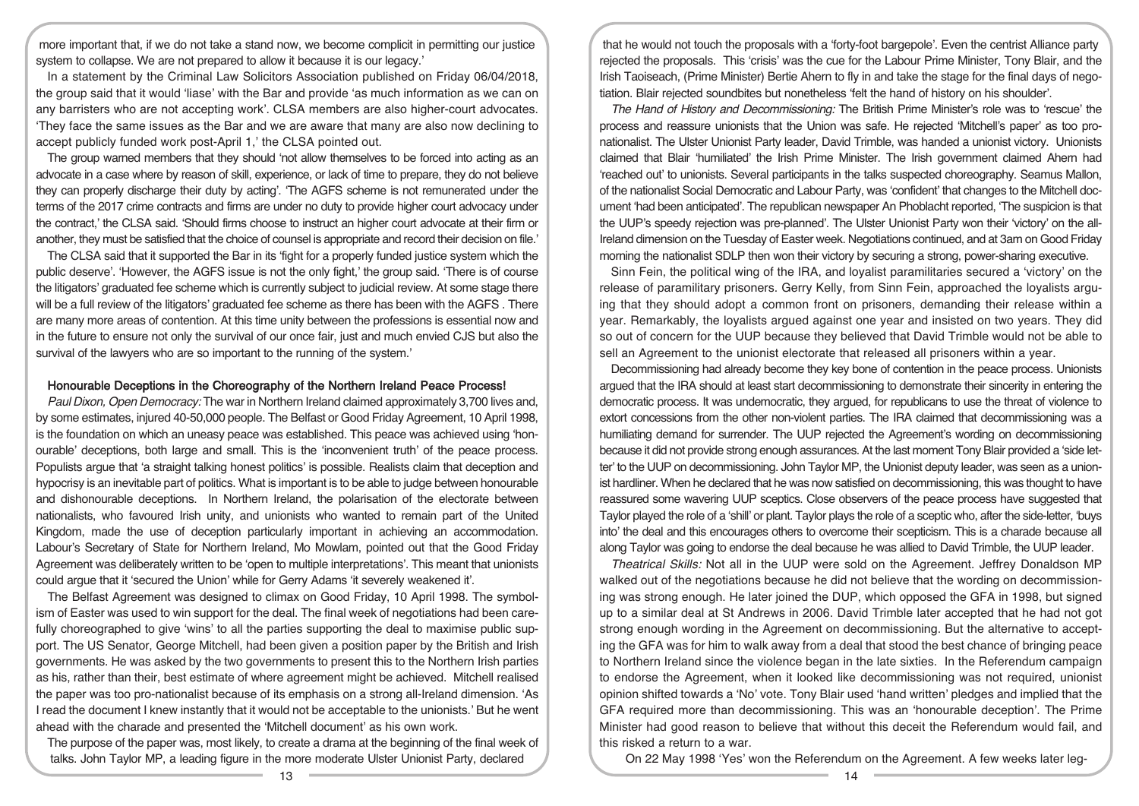more important that, if we do not take a stand now, we become complicit in permitting our justice system to collapse. We are not prepared to allow it because it is our legacy.'

In a statement by the Criminal Law Solicitors Association published on Friday 06/04/2018, the group said that it would 'liase' with the Bar and provide 'as much information as we can on any barristers who are not accepting work'. CLSA members are also higher-court advocates. 'They face the same issues as the Bar and we are aware that many are also now declining to accept publicly funded work post-April 1,' the CLSA pointed out.

The group warned members that they should 'not allow themselves to be forced into acting as an advocate in a case where by reason of skill, experience, or lack of time to prepare, they do not believe they can properly discharge their duty by acting'. 'The AGFS scheme is not remunerated under the terms of the 2017 crime contracts and firms are under no duty to provide higher court advocacy under the contract,' the CLSA said. 'Should firms choose to instruct an higher court advocate at their firm or another, they must be satisfied that the choice of counsel is appropriate and record their decision on file.'

The CLSA said that it supported the Bar in its 'fight for a properly funded justice system which the public deserve'. 'However, the AGFS issue is not the only fight,' the group said. 'There is of course the litigators' graduated fee scheme which is currently subject to judicial review. At some stage there will be a full review of the litigators' graduated fee scheme as there has been with the AGFS . There are many more areas of contention. At this time unity between the professions is essential now and in the future to ensure not only the survival of our once fair, just and much envied CJS but also the survival of the lawyers who are so important to the running of the system.'

#### Honourable Deceptions in the Choreography of the Northern Ireland Peace Process!

Paul Dixon, Open Democracy: The war in Northern Ireland claimed approximately 3,700 lives and, by some estimates, injured 40-50,000 people. The Belfast or Good Friday Agreement, 10 April 1998, is the foundation on which an uneasy peace was established. This peace was achieved using 'honourable' deceptions, both large and small. This is the 'inconvenient truth' of the peace process. Populists argue that 'a straight talking honest politics' is possible. Realists claim that deception and hypocrisy is an inevitable part of politics. What is important is to be able to judge between honourable and dishonourable deceptions. In Northern Ireland, the polarisation of the electorate between nationalists, who favoured Irish unity, and unionists who wanted to remain part of the United Kingdom, made the use of deception particularly important in achieving an accommodation. Labour's Secretary of State for Northern Ireland, Mo Mowlam, pointed out that the Good Friday Agreement was deliberately written to be 'open to multiple interpretations'. This meant that unionists could argue that it 'secured the Union' while for Gerry Adams 'it severely weakened it'.

The Belfast Agreement was designed to climax on Good Friday, 10 April 1998. The symbolism of Easter was used to win support for the deal. The final week of negotiations had been carefully choreographed to give 'wins' to all the parties supporting the deal to maximise public support. The US Senator, George Mitchell, had been given a position paper by the British and Irish governments. He was asked by the two governments to present this to the Northern Irish parties as his, rather than their, best estimate of where agreement might be achieved. Mitchell realised the paper was too pro-nationalist because of its emphasis on a strong all-Ireland dimension. 'As I read the document I knew instantly that it would not be acceptable to the unionists.' But he went ahead with the charade and presented the 'Mitchell document' as his own work.

The purpose of the paper was, most likely, to create a drama at the beginning of the final week of talks. John Taylor MP, a leading figure in the more moderate Ulster Unionist Party, declared

that he would not touch the proposals with a 'forty-foot bargepole'. Even the centrist Alliance party rejected the proposals. This 'crisis' was the cue for the Labour Prime Minister, Tony Blair, and the Irish Taoiseach, (Prime Minister) Bertie Ahern to fly in and take the stage for the final days of negotiation. Blair rejected soundbites but nonetheless 'felt the hand of history on his shoulder'.

The Hand of History and Decommissioning: The British Prime Minister's role was to 'rescue' the process and reassure unionists that the Union was safe. He rejected 'Mitchell's paper' as too pronationalist. The Ulster Unionist Party leader, David Trimble, was handed a unionist victory. Unionists claimed that Blair 'humiliated' the Irish Prime Minister. The Irish government claimed Ahern had 'reached out' to unionists. Several participants in the talks suspected choreography. Seamus Mallon, of the nationalist Social Democratic and Labour Party, was 'confident' that changes to the Mitchell document 'had been anticipated'. The republican newspaper An Phoblacht reported, 'The suspicion is that the UUP's speedy rejection was pre-planned'. The Ulster Unionist Party won their 'victory' on the all-Ireland dimension on the Tuesday of Easter week. Negotiations continued, and at 3am on Good Friday morning the nationalist SDLP then won their victory by securing a strong, power-sharing executive.

Sinn Fein, the political wing of the IRA, and loyalist paramilitaries secured a 'victory' on the release of paramilitary prisoners. Gerry Kelly, from Sinn Fein, approached the loyalists arguing that they should adopt a common front on prisoners, demanding their release within a year. Remarkably, the loyalists argued against one year and insisted on two years. They did so out of concern for the UUP because they believed that David Trimble would not be able to sell an Agreement to the unionist electorate that released all prisoners within a year.

Decommissioning had already become they key bone of contention in the peace process. Unionists argued that the IRA should at least start decommissioning to demonstrate their sincerity in entering the democratic process. It was undemocratic, they argued, for republicans to use the threat of violence to extort concessions from the other non-violent parties. The IRA claimed that decommissioning was a humiliating demand for surrender. The UUP rejected the Agreement's wording on decommissioning because it did not provide strong enough assurances. At the last moment Tony Blair provided a 'side letter' to the UUP on decommissioning. John Taylor MP, the Unionist deputy leader, was seen as a unionist hardliner. When he declared that he was now satisfied on decommissioning, this was thought to have reassured some wavering UUP sceptics. Close observers of the peace process have suggested that Taylor played the role of a 'shill' or plant. Taylor plays the role of a sceptic who, after the side-letter, 'buys into' the deal and this encourages others to overcome their scepticism. This is a charade because all along Taylor was going to endorse the deal because he was allied to David Trimble, the UUP leader.

Theatrical Skills: Not all in the UUP were sold on the Agreement. Jeffrey Donaldson MP walked out of the negotiations because he did not believe that the wording on decommissioning was strong enough. He later joined the DUP, which opposed the GFA in 1998, but signed up to a similar deal at St Andrews in 2006. David Trimble later accepted that he had not got strong enough wording in the Agreement on decommissioning. But the alternative to accepting the GFA was for him to walk away from a deal that stood the best chance of bringing peace to Northern Ireland since the violence began in the late sixties. In the Referendum campaign to endorse the Agreement, when it looked like decommissioning was not required, unionist opinion shifted towards a 'No' vote. Tony Blair used 'hand written' pledges and implied that the GFA required more than decommissioning. This was an 'honourable deception'. The Prime Minister had good reason to believe that without this deceit the Referendum would fail, and this risked a return to a war.

On 22 May 1998 'Yes' won the Referendum on the Agreement. A few weeks later leg-